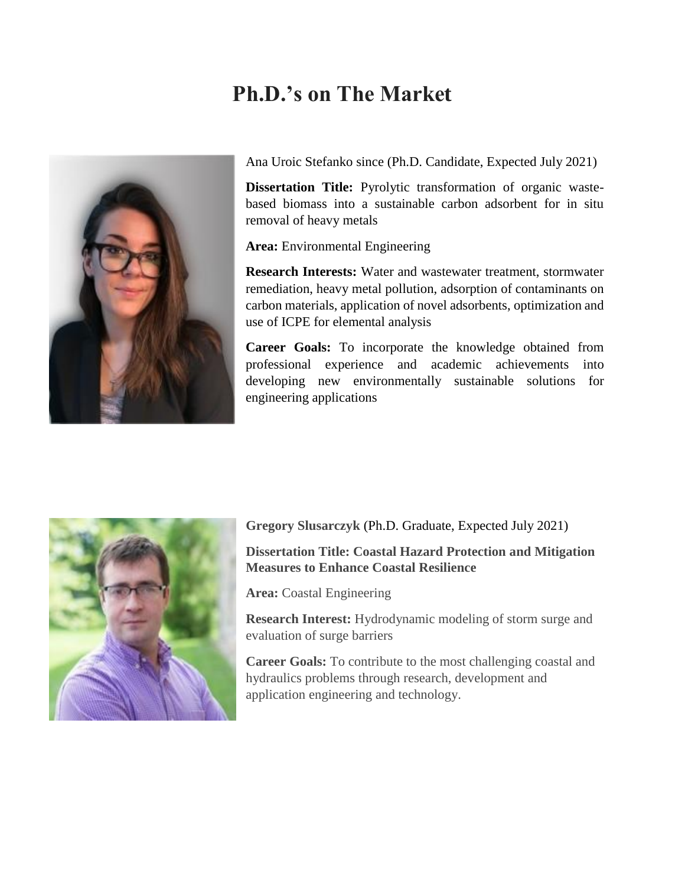## **Ph.D.'s on The Market**



Ana Uroic Stefanko since (Ph.D. Candidate, Expected July 2021)

**Dissertation Title:** Pyrolytic transformation of organic wastebased biomass into a sustainable carbon adsorbent for in situ removal of heavy metals

**Area:** Environmental Engineering

**Research Interests:** Water and wastewater treatment, stormwater remediation, heavy metal pollution, adsorption of contaminants on carbon materials, application of novel adsorbents, optimization and use of ICPE for elemental analysis

**Career Goals:** To incorporate the knowledge obtained from professional experience and academic achievements into developing new environmentally sustainable solutions for engineering applications



**Gregory Slusarczyk** (Ph.D. Graduate, Expected July 2021)

**Dissertation Title: Coastal Hazard Protection and Mitigation Measures to Enhance Coastal Resilience**

**Area:** Coastal Engineering

**Research Interest:** Hydrodynamic modeling of storm surge and evaluation of surge barriers

**Career Goals:** To contribute to the most challenging coastal and hydraulics problems through research, development and application engineering and technology.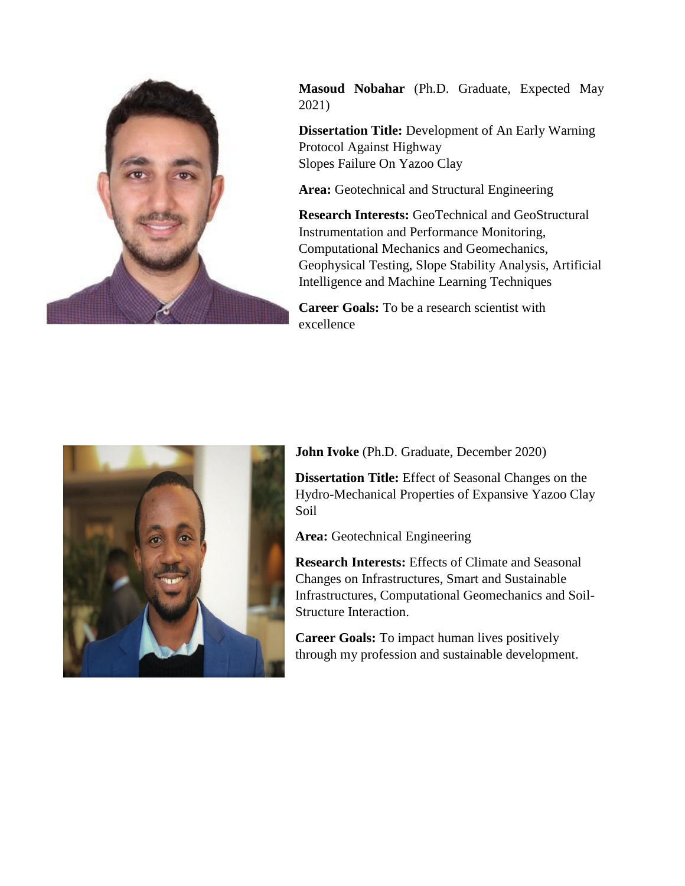

**Masoud Nobahar** (Ph.D. Graduate, Expected May 2021)

**Dissertation Title:** Development of An Early Warning Protocol Against Highway Slopes Failure On Yazoo Clay

**Area:** Geotechnical and Structural Engineering

**Research Interests:** GeoTechnical and GeoStructural Instrumentation and Performance Monitoring, Computational Mechanics and Geomechanics, Geophysical Testing, Slope Stability Analysis, Artificial Intelligence and Machine Learning Techniques

**Career Goals:** To be a research scientist with excellence



**John Ivoke** (Ph.D. Graduate, December 2020)

**Dissertation Title:** Effect of Seasonal Changes on the Hydro-Mechanical Properties of Expansive Yazoo Clay Soil

**Area:** Geotechnical Engineering

**Research Interests:** Effects of Climate and Seasonal Changes on Infrastructures, Smart and Sustainable Infrastructures, Computational Geomechanics and Soil-Structure Interaction.

**Career Goals:** To impact human lives positively through my profession and sustainable development.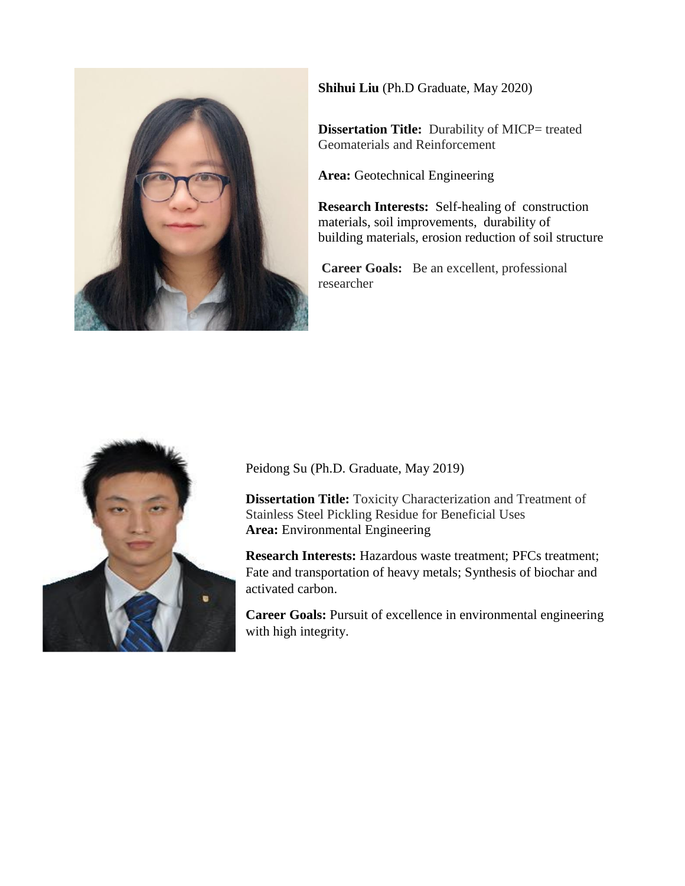

**Shihui Liu** (Ph.D Graduate, May 2020)

**Dissertation Title:** Durability of MICP= treated Geomaterials and Reinforcement

**Area:** Geotechnical Engineering

**Research Interests:** Self-healing of construction materials, soil improvements, durability of building materials, erosion reduction of soil structure

**Career Goals:** Be an excellent, professional researcher



Peidong Su (Ph.D. Graduate, May 2019)

**Dissertation Title:** Toxicity Characterization and Treatment of Stainless Steel Pickling Residue for Beneficial Uses **Area:** Environmental Engineering

**Research Interests:** Hazardous waste treatment; PFCs treatment; Fate and transportation of heavy metals; Synthesis of biochar and activated carbon.

**Career Goals:** Pursuit of excellence in environmental engineering with high integrity.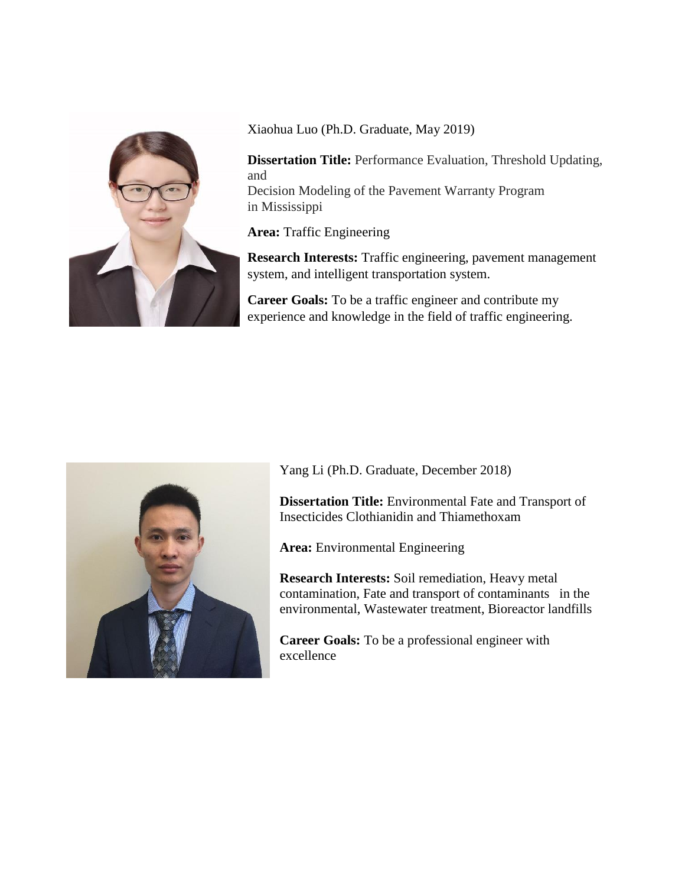

Xiaohua Luo (Ph.D. Graduate, May 2019)

**Dissertation Title:** Performance Evaluation, Threshold Updating, and Decision Modeling of the Pavement Warranty Program

in Mississippi

**Area:** Traffic Engineering

**Research Interests:** Traffic engineering, pavement management system, and intelligent transportation system.

**Career Goals:** To be a traffic engineer and contribute my experience and knowledge in the field of traffic engineering.



Yang Li (Ph.D. Graduate, December 2018)

**Dissertation Title:** Environmental Fate and Transport of Insecticides Clothianidin and Thiamethoxam

**Area:** Environmental Engineering

**Research Interests:** Soil remediation, Heavy metal contamination, Fate and transport of contaminants in the environmental, Wastewater treatment, Bioreactor landfills

**Career Goals:** To be a professional engineer with excellence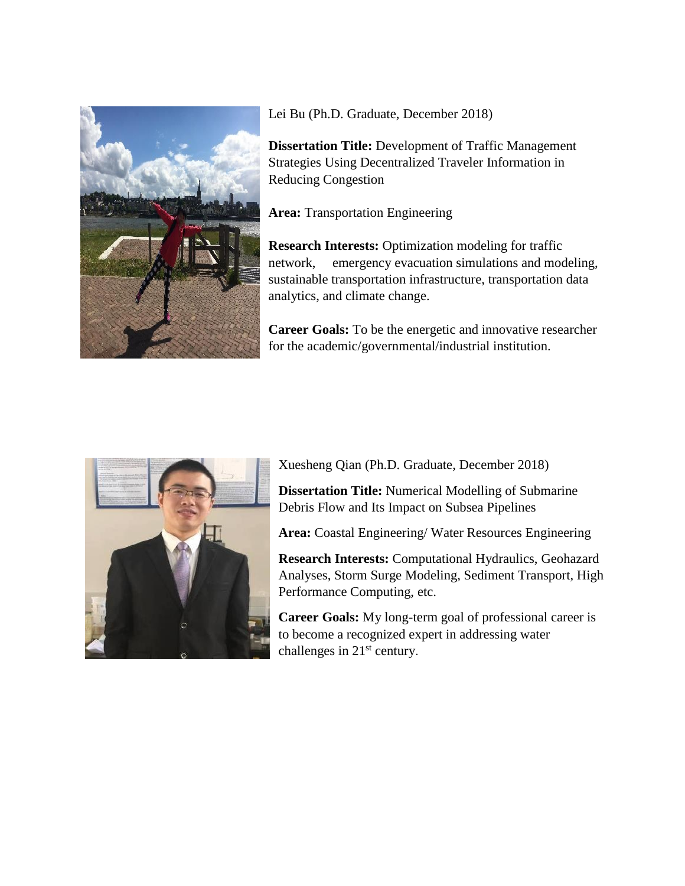

Lei Bu (Ph.D. Graduate, December 2018)

**Dissertation Title:** Development of Traffic Management Strategies Using Decentralized Traveler Information in Reducing Congestion

**Area:** Transportation Engineering

**Research Interests:** Optimization modeling for traffic network, emergency evacuation simulations and modeling, sustainable transportation infrastructure, transportation data analytics, and climate change.

**Career Goals:** To be the energetic and innovative researcher for the academic/governmental/industrial institution.



Xuesheng Qian (Ph.D. Graduate, December 2018)

**Dissertation Title:** Numerical Modelling of Submarine Debris Flow and Its Impact on Subsea Pipelines

**Area:** Coastal Engineering/ Water Resources Engineering

**Research Interests:** Computational Hydraulics, Geohazard Analyses, Storm Surge Modeling, Sediment Transport, High Performance Computing, etc.

**Career Goals:** My long-term goal of professional career is to become a recognized expert in addressing water challenges in  $21<sup>st</sup>$  century.